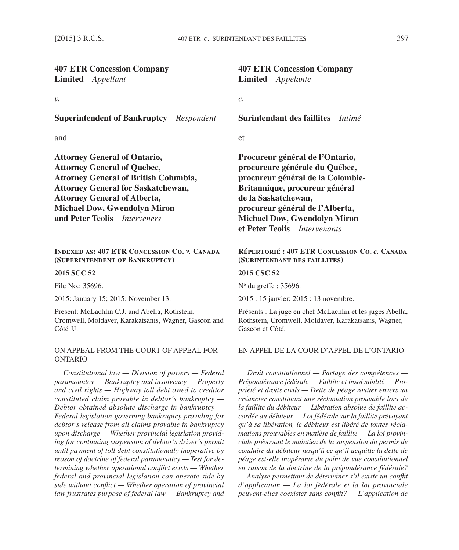| <b>407 ETR Concession Company</b><br>Limited Appellant                                                                                                                                                                                                                                | <b>407 ETR Concession Company</b><br>Limited Appelante                                                                                                                                                                                                                                              |
|---------------------------------------------------------------------------------------------------------------------------------------------------------------------------------------------------------------------------------------------------------------------------------------|-----------------------------------------------------------------------------------------------------------------------------------------------------------------------------------------------------------------------------------------------------------------------------------------------------|
| ν.                                                                                                                                                                                                                                                                                    | $\mathcal{C}$ .                                                                                                                                                                                                                                                                                     |
| <b>Superintendent of Bankruptcy</b> Respondent                                                                                                                                                                                                                                        | <b>Surintendant des faillites</b> Intimé                                                                                                                                                                                                                                                            |
| and                                                                                                                                                                                                                                                                                   | et                                                                                                                                                                                                                                                                                                  |
| <b>Attorney General of Ontario,</b><br><b>Attorney General of Quebec,</b><br><b>Attorney General of British Columbia,</b><br><b>Attorney General for Saskatchewan,</b><br><b>Attorney General of Alberta,</b><br><b>Michael Dow, Gwendolyn Miron</b><br>and Peter Teolis Interveners  | Procureur général de l'Ontario,<br>procureure générale du Québec,<br>procureur général de la Colombie-<br>Britannique, procureur général<br>de la Saskatchewan,<br>procureur général de l'Alberta,<br><b>Michael Dow, Gwendolyn Miron</b><br>et Peter Teolis Intervenants                           |
| <b>INDEXED AS: 407 ETR CONCESSION CO. v. CANADA</b><br>(SUPERINTENDENT OF BANKRUPTCY)                                                                                                                                                                                                 | RÉPERTORIÉ : 407 ETR CONCESSION CO. c. CANAD.<br>(SURINTENDANT DES FAILLITES)                                                                                                                                                                                                                       |
| 2015 SCC 52                                                                                                                                                                                                                                                                           | 2015 CSC 52                                                                                                                                                                                                                                                                                         |
| File No.: 35696.                                                                                                                                                                                                                                                                      | $No$ du greffe : 35696.                                                                                                                                                                                                                                                                             |
| 2015: January 15; 2015: November 13.                                                                                                                                                                                                                                                  | 2015 : 15 janvier; 2015 : 13 novembre.                                                                                                                                                                                                                                                              |
| Present: McLachlin C.J. and Abella, Rothstein,<br>Cromwell, Moldaver, Karakatsanis, Wagner, Gascon and<br>Côté JJ.                                                                                                                                                                    | Présents : La juge en chef McLachlin et les juges Abella<br>Rothstein, Cromwell, Moldaver, Karakatsanis, Wagner,<br>Gascon et Côté.                                                                                                                                                                 |
| ON APPEAL FROM THE COURT OF APPEAL FOR<br><b>ONTARIO</b>                                                                                                                                                                                                                              | EN APPEL DE LA COUR D'APPEL DE L'ONTARIO                                                                                                                                                                                                                                                            |
| Constitutional law $-$ Division of powers $-$ Federal<br>paramountcy - Bankruptcy and insolvency - Property<br>and civil rights - Highway toll debt owed to creditor<br>constituted claim provable in debtor's bankruptcy $-$<br>Debtor obtained absolute discharge in bankruptcy $-$ | Droit constitutionnel - Partage des compétences -<br>Prépondérance fédérale — Faillite et insolvabilité — Pro<br>priété et droits civils — Dette de péage routier envers u<br>créancier constituant une réclamation prouvable lors d<br>la faillite du débiteur — Libération absolue de faillite ac |

*Debtor obtained absolute discharge in bankruptcy — Federal legislation governing bankruptcy providing for debtor's release from all claims provable in bankruptcy upon discharge — Whether provincial legislation providing for continuing suspension of debtor's driver's permit until payment of toll debt constitutionally inoperative by reason of doctrine of federal paramountcy — Test for determining whether operational conflict exists — Whether federal and provincial legislation can operate side by side without conflict — Whether operation of provincial law frustrates purpose of federal law — Bankruptcy and* 

# **Répertorié : 407 ETR Concession Co.** *c.* **Canada**

*Droit constitutionnel — Partage des compétences — Prépondérance fédérale — Faillite et insolvabilité — Propriété et droits civils — Dette de péage routier envers un créancier constituant une réclamation prouvable lors de la faillite du débiteur — Libération absolue de faillite accordée au débiteur — Loi fédérale sur la faillite prévoyant qu'à sa libération, le débiteur est libéré de toutes réclamations prouvables en matière de faillite — La loi provinciale prévoyant le maintien de la suspension du permis de conduire du débiteur jusqu'à ce qu'il acquitte la dette de péage est-elle inopérante du point de vue constitutionnel en raison de la doctrine de la prépondérance fédérale? — Analyse permettant de déterminer s'il existe un conflit d'application — La loi fédérale et la loi provinciale peuvent-elles coexister sans conflit? — L'application de*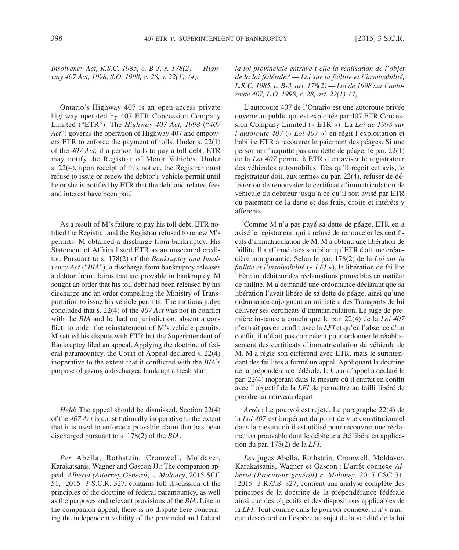*Insolvency Act, R.S.C. 1985, c. B-3, s. 178(2) — Highway 407 Act, 1998, S.O. 1998, c. 28, s. 22(1), (4).*

Ontario's Highway 407 is an open-access private highway operated by 407 ETR Concession Company Limited ("ETR"). The *Highway 407 Act, 1998* ("*407 Act*") governs the operation of Highway 407 and empowers ETR to enforce the payment of tolls. Under s. 22(1) of the *407 Act*, if a person fails to pay a toll debt, ETR may notify the Registrar of Motor Vehicles. Under s. 22(4), upon receipt of this notice, the Registrar must refuse to issue or renew the debtor's vehicle permit until he or she is notified by ETR that the debt and related fees and interest have been paid.

As a result of M's failure to pay his toll debt, ETR notified the Registrar and the Registrar refused to renew M's permits. M obtained a discharge from bankruptcy. His Statement of Affairs listed ETR as an unsecured creditor. Pursuant to s. 178(2) of the *Bankruptcy and Insolvency Act* ("*BIA*"), a discharge from bankruptcy releases a debtor from claims that are provable in bankruptcy. M sought an order that his toll debt had been released by his discharge and an order compelling the Ministry of Transportation to issue his vehicle permits. The motions judge concluded that s. 22(4) of the *407 Act* was not in conflict with the *BIA* and he had no jurisdiction, absent a conflict, to order the reinstatement of M's vehicle permits. M settled his dispute with ETR but the Superintendent of Bankruptcy filed an appeal. Applying the doctrine of federal paramountcy, the Court of Appeal declared s. 22(4) inoperative to the extent that it conflicted with the *BIA*'s purpose of giving a discharged bankrupt a fresh start.

*Held*: The appeal should be dismissed. Section 22(4) of the *407 Act* is constitutionally inoperative to the extent that it is used to enforce a provable claim that has been discharged pursuant to s. 178(2) of the *BIA*.

*Per* Abella, Rothstein, Cromwell, Moldaver, Karakatsanis, Wagner and Gascon JJ.: The companion appeal, *Alberta (Attorney General) v. Moloney*, 2015 SCC 51, [2015] 3 S.C.R. 327, contains full discussion of the principles of the doctrine of federal paramountcy, as well as the purposes and relevant provisions of the *BIA*. Like in the companion appeal, there is no dispute here concerning the independent validity of the provincial and federal

*la loi provinciale entrave-t-elle la réalisation de l'objet de la loi fédérale? — Loi sur la faillite et l'insolvabilité, L.R.C. 1985, c. B-3, art. 178(2) — Loi de 1998 sur l'autoroute 407, L.O. 1998, c. 28, art. 22(1), (4).*

L'autoroute 407 de l'Ontario est une autoroute privée ouverte au public qui est exploitée par 407 ETR Concession Company Limited (« ETR »). La *Loi de 1998 sur l'autoroute 407* (« *Loi 407* ») en régit l'exploitation et habilite ETR à recouvrer le paiement des péages. Si une personne n'acquitte pas une dette de péage, le par. 22(1) de la *Loi 407* permet à ETR d'en aviser le registrateur des véhicules automobiles. Dès qu'il reçoit cet avis, le registrateur doit, aux termes du par. 22(4), refuser de délivrer ou de renouveler le certificat d'immatriculation de véhicule du débiteur jusqu'à ce qu'il soit avisé par ETR du paiement de la dette et des frais, droits et intérêts y afférents.

Comme M n'a pas payé sa dette de péage, ETR en a avisé le registrateur, qui a refusé de renouveler les certificats d'immatriculation de M. M a obtenu une libération de faillite. Il a affirmé dans son bilan qu'ETR était une créancière non garantie. Selon le par. 178(2) de la *Loi sur la faillite et l'insolvabilité* (« *LFI* »), la libération de faillite libère un débiteur des réclamations prouvables en matière de faillite. M a demandé une ordonnance déclarant que sa libération l'avait libéré de sa dette de péage, ainsi qu'une ordonnance enjoignant au ministère des Transports de lui délivrer ses certificats d'immatriculation. Le juge de première instance a conclu que le par. 22(4) de la *Loi 407* n'entrait pas en conflit avec la *LFI* et qu'en l'absence d'un conflit, il n'était pas compétent pour ordonner le rétablissement des certificats d'immatriculation de véhicule de M. M a réglé son différend avec ETR, mais le surintendant des faillites a formé un appel. Appliquant la doctrine de la prépondérance fédérale, la Cour d'appel a déclaré le par. 22(4) inopérant dans la mesure où il entrait en conflit avec l'objectif de la *LFI* de permettre au failli libéré de prendre un nouveau départ.

*Arrêt* : Le pourvoi est rejeté. Le paragraphe 22(4) de la *Loi 407* est inopérant du point de vue constitutionnel dans la mesure où il est utilisé pour recouvrer une réclamation prouvable dont le débiteur a été libéré en application du par. 178(2) de la *LFI*.

*Les* juges Abella, Rothstein, Cromwell, Moldaver, Karakatsanis, Wagner et Gascon : L'arrêt connexe *Alberta (Procureur général) c. Moloney*, 2015 CSC 51, [2015] 3 R.C.S. 327, contient une analyse complète des principes de la doctrine de la prépondérance fédérale ainsi que des objectifs et des dispositions applicables de la *LFI*. Tout comme dans le pourvoi connexe, il n'y a aucun désaccord en l'espèce au sujet de la validité de la loi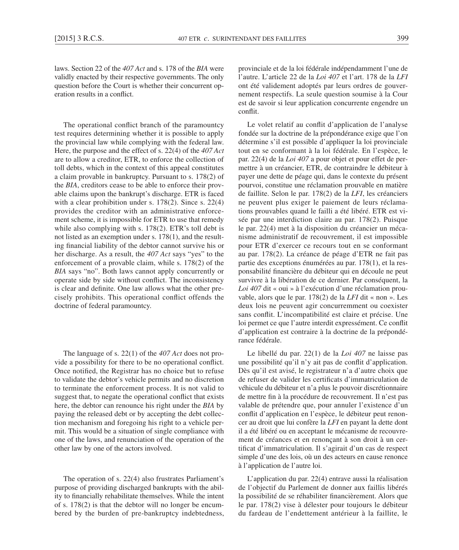laws. Section 22 of the *407 Act* and s. 178 of the *BIA* were validly enacted by their respective governments. The only question before the Court is whether their concurrent operation results in a conflict.

The operational conflict branch of the paramountcy test requires determining whether it is possible to apply the provincial law while complying with the federal law. Here, the purpose and the effect of s. 22(4) of the *407 Act* are to allow a creditor, ETR, to enforce the collection of toll debts, which in the context of this appeal constitutes a claim provable in bankruptcy. Pursuant to s. 178(2) of the *BIA*, creditors cease to be able to enforce their provable claims upon the bankrupt's discharge. ETR is faced with a clear prohibition under s. 178(2). Since s. 22(4) provides the creditor with an administrative enforcement scheme, it is impossible for ETR to use that remedy while also complying with s. 178(2). ETR's toll debt is not listed as an exemption under s. 178(1), and the resulting financial liability of the debtor cannot survive his or her discharge. As a result, the *407 Act* says "yes" to the enforcement of a provable claim, while s. 178(2) of the *BIA* says "no". Both laws cannot apply concurrently or operate side by side without conflict. The inconsistency is clear and definite. One law allows what the other precisely prohibits. This operational conflict offends the doctrine of federal paramountcy.

The language of s. 22(1) of the *407 Act* does not provide a possibility for there to be no operational conflict. Once notified, the Registrar has no choice but to refuse to validate the debtor's vehicle permits and no discretion to terminate the enforcement process. It is not valid to suggest that, to negate the operational conflict that exists here, the debtor can renounce his right under the *BIA* by paying the released debt or by accepting the debt collection mechanism and foregoing his right to a vehicle permit. This would be a situation of single compliance with one of the laws, and renunciation of the operation of the other law by one of the actors involved.

The operation of s. 22(4) also frustrates Parliament's purpose of providing discharged bankrupts with the ability to financially rehabilitate themselves. While the intent of s. 178(2) is that the debtor will no longer be encumbered by the burden of pre-bankruptcy indebtedness, provinciale et de la loi fédérale indépendamment l'une de l'autre. L'article 22 de la *Loi 407* et l'art. 178 de la *LFI* ont été validement adoptés par leurs ordres de gouvernement respectifs. La seule question soumise à la Cour est de savoir si leur application concurrente engendre un conflit.

Le volet relatif au conflit d'application de l'analyse fondée sur la doctrine de la prépondérance exige que l'on détermine s'il est possible d'appliquer la loi provinciale tout en se conformant à la loi fédérale. En l'espèce, le par. 22(4) de la *Loi 407* a pour objet et pour effet de permettre à un créancier, ETR, de contraindre le débiteur à payer une dette de péage qui, dans le contexte du présent pourvoi, constitue une réclamation prouvable en matière de faillite. Selon le par. 178(2) de la *LFI*, les créanciers ne peuvent plus exiger le paiement de leurs réclamations prouvables quand le failli a été libéré. ETR est visée par une interdiction claire au par. 178(2). Puisque le par. 22(4) met à la disposition du créancier un mécanisme administratif de recouvrement, il est impossible pour ETR d'exercer ce recours tout en se conformant au par. 178(2). La créance de péage d'ETR ne fait pas partie des exceptions énumérées au par. 178(1), et la responsabilité financière du débiteur qui en découle ne peut survivre à la libération de ce dernier. Par conséquent, la *Loi 407* dit « oui » à l'exécution d'une réclamation prouvable, alors que le par. 178(2) de la *LFI* dit « non ». Les deux lois ne peuvent agir concurremment ou coexister sans conflit. L'incompatibilité est claire et précise. Une loi permet ce que l'autre interdit expressément. Ce conflit d'application est contraire à la doctrine de la prépondérance fédérale.

Le libellé du par. 22(1) de la *Loi 407* ne laisse pas une possibilité qu'il n'y ait pas de conflit d'application. Dès qu'il est avisé, le registrateur n'a d'autre choix que de refuser de valider les certificats d'immatriculation de véhicule du débiteur et n'a plus le pouvoir discrétionnaire de mettre fin à la procédure de recouvrement. Il n'est pas valable de prétendre que, pour annuler l'existence d'un conflit d'application en l'espèce, le débiteur peut renoncer au droit que lui confère la *LFI* en payant la dette dont il a été libéré ou en acceptant le mécanisme de recouvrement de créances et en renonçant à son droit à un certificat d'immatriculation. Il s'agirait d'un cas de respect simple d'une des lois, où un des acteurs en cause renonce à l'application de l'autre loi.

L'application du par. 22(4) entrave aussi la réalisation de l'objectif du Parlement de donner aux faillis libérés la possibilité de se réhabiliter financièrement. Alors que le par. 178(2) vise à délester pour toujours le débiteur du fardeau de l'endettement antérieur à la faillite, le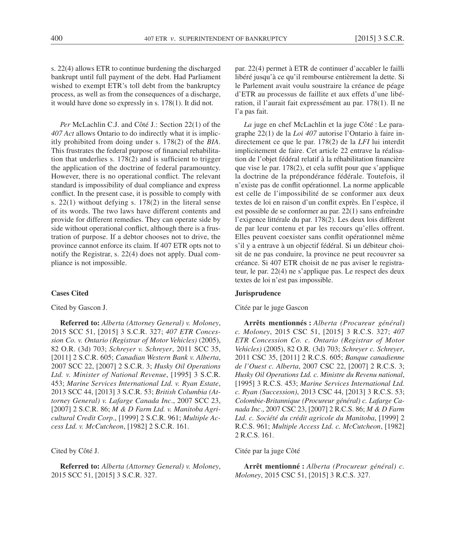s. 22(4) allows ETR to continue burdening the discharged bankrupt until full payment of the debt. Had Parliament wished to exempt ETR's toll debt from the bankruptcy process, as well as from the consequences of a discharge, it would have done so expressly in s. 178(1). It did not.

*Per* McLachlin C.J. and Côté J.: Section 22(1) of the *407 Act* allows Ontario to do indirectly what it is implicitly prohibited from doing under s. 178(2) of the *BIA*. This frustrates the federal purpose of financial rehabilitation that underlies s. 178(2) and is sufficient to trigger the application of the doctrine of federal paramountcy. However, there is no operational conflict. The relevant standard is impossibility of dual compliance and express conflict. In the present case, it is possible to comply with s. 22(1) without defying s. 178(2) in the literal sense of its words. The two laws have different contents and provide for different remedies. They can operate side by side without operational conflict, although there is a frustration of purpose. If a debtor chooses not to drive, the province cannot enforce its claim. If 407 ETR opts not to notify the Registrar, s. 22(4) does not apply. Dual compliance is not impossible.

#### **Cases Cited**

Cited by Gascon J.

**Referred to:** *Alberta (Attorney General) v. Moloney*, 2015 SCC 51, [2015] 3 S.C.R. 327; *407 ETR Concession Co. v. Ontario (Registrar of Motor Vehicles)* (2005), 82 O.R. (3d) 703; *Schreyer v. Schreyer*, 2011 SCC 35, [2011] 2 S.C.R. 605; *Canadian Western Bank v. Alberta*, 2007 SCC 22, [2007] 2 S.C.R. 3; *Husky Oil Operations Ltd. v. Minister of National Revenue*, [1995] 3 S.C.R. 453; *Marine Services International Ltd. v. Ryan Estate*, 2013 SCC 44, [2013] 3 S.C.R. 53; *British Columbia (Attorney General) v. Lafarge Canada Inc*., 2007 SCC 23, [2007] 2 S.C.R. 86; *M & D Farm Ltd. v. Manitoba Agricultural Credit Corp*., [1999] 2 S.C.R. 961; *Multiple Access Ltd. v. McCutcheon*, [1982] 2 S.C.R. 161.

#### Cited by Côté J.

**Referred to:** *Alberta (Attorney General) v. Moloney*, 2015 SCC 51, [2015] 3 S.C.R. 327.

par. 22(4) permet à ETR de continuer d'accabler le failli libéré jusqu'à ce qu'il rembourse entièrement la dette. Si le Parlement avait voulu soustraire la créance de péage d'ETR au processus de faillite et aux effets d'une libération, il l'aurait fait expressément au par. 178(1). Il ne l'a pas fait.

*La* juge en chef McLachlin et la juge Côté : Le paragraphe 22(1) de la *Loi 407* autorise l'Ontario à faire indirectement ce que le par. 178(2) de la *LFI* lui interdit implicitement de faire. Cet article 22 entrave la réalisation de l'objet fédéral relatif à la réhabilitation financière que vise le par. 178(2), et cela suffit pour que s'applique la doctrine de la prépondérance fédérale. Toutefois, il n'existe pas de conflit opérationnel. La norme applicable est celle de l'impossibilité de se conformer aux deux textes de loi en raison d'un conflit exprès. En l'espèce, il est possible de se conformer au par. 22(1) sans enfreindre l'exigence littérale du par. 178(2). Les deux lois diffèrent de par leur contenu et par les recours qu'elles offrent. Elles peuvent coexister sans conflit opérationnel même s'il y a entrave à un objectif fédéral. Si un débiteur choisit de ne pas conduire, la province ne peut recouvrer sa créance. Si 407 ETR choisit de ne pas aviser le registrateur, le par. 22(4) ne s'applique pas. Le respect des deux textes de loi n'est pas impossible.

#### **Jurisprudence**

#### Citée par le juge Gascon

**Arrêts mentionnés :** *Alberta (Procureur général) c. Moloney*, 2015 CSC 51, [2015] 3 R.C.S. 327; *407 ETR Concession Co. c. Ontario (Registrar of Motor Vehicles)* (2005), 82 O.R. (3d) 703; *Schreyer c. Schreyer*, 2011 CSC 35, [2011] 2 R.C.S. 605; *Banque canadienne de l'Ouest c. Alberta*, 2007 CSC 22, [2007] 2 R.C.S. 3; *Husky Oil Operations Ltd. c. Ministre du Revenu national*, [1995] 3 R.C.S. 453; *Marine Services International Ltd. c. Ryan (Succession)*, 2013 CSC 44, [2013] 3 R.C.S. 53; *Colombie-Britannique (Procureur général) c. Lafarge Canada Inc*., 2007 CSC 23, [2007] 2 R.C.S. 86; *M & D Farm Ltd. c. Société du crédit agricole du Manitoba*, [1999] 2 R.C.S. 961; *Multiple Access Ltd. c. McCutcheon*, [1982] 2 R.C.S. 161.

#### Citée par la juge Côté

**Arrêt mentionné :** *Alberta (Procureur général) c. Moloney*, 2015 CSC 51, [2015] 3 R.C.S. 327.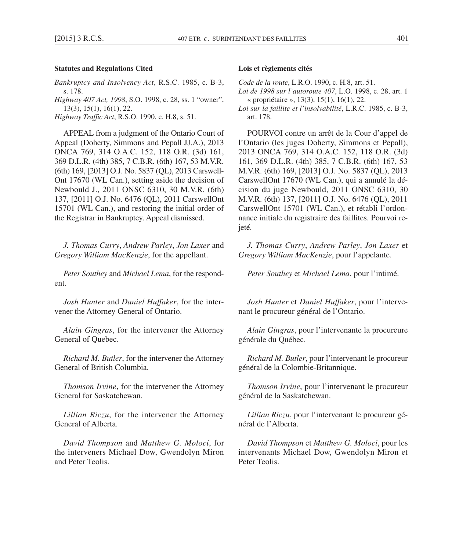# **Statutes and Regulations Cited**

*Bankruptcy and Insolvency Act*, R.S.C. 1985, c. B-3, s. 178. *Highway 407 Act, 1998*, S.O. 1998, c. 28, ss. 1 "owner", 13(3), 15(1), 16(1), 22.

*Highway Traffic Act*, R.S.O. 1990, c. H.8, s. 51.

APPEAL from a judgment of the Ontario Court of Appeal (Doherty, Simmons and Pepall JJ.A.), 2013 ONCA 769, 314 O.A.C. 152, 118 O.R. (3d) 161, 369 D.L.R. (4th) 385, 7 C.B.R. (6th) 167, 53 M.V.R. (6th) 169, [2013] O.J. No. 5837 (QL), 2013 Carswell-Ont 17670 (WL Can.), setting aside the decision of Newbould J., 2011 ONSC 6310, 30 M.V.R. (6th) 137, [2011] O.J. No. 6476 (QL), 2011 CarswellOnt 15701 (WL Can.), and restoring the initial order of the Registrar in Bankruptcy. Appeal dismissed.

*J. Thomas Curry*, *Andrew Parley*, *Jon Laxer* and *Gregory William MacKenzie*, for the appellant.

*Peter Southey* and *Michael Lema*, for the respondent.

*Josh Hunter* and *Daniel Huffaker*, for the intervener the Attorney General of Ontario.

*Alain Gingras*, for the intervener the Attorney General of Quebec.

*Richard M. Butler*, for the intervener the Attorney General of British Columbia.

*Thomson Irvine*, for the intervener the Attorney General for Saskatchewan.

*Lillian Riczu*, for the intervener the Attorney General of Alberta.

*David Thompson* and *Matthew G. Moloci*, for the interveners Michael Dow, Gwendolyn Miron and Peter Teolis.

# **Lois et règlements cités**

*Code de la route*, L.R.O. 1990, c. H.8, art. 51.

*Loi de 1998 sur l'autoroute 407*, L.O. 1998, c. 28, art. 1 « propriétaire », 13(3), 15(1), 16(1), 22.

*Loi sur la faillite et l'insolvabilité*, L.R.C. 1985, c. B-3, art. 178.

POURVOI contre un arrêt de la Cour d'appel de l'Ontario (les juges Doherty, Simmons et Pepall), 2013 ONCA 769, 314 O.A.C. 152, 118 O.R. (3d) 161, 369 D.L.R. (4th) 385, 7 C.B.R. (6th) 167, 53 M.V.R. (6th) 169, [2013] O.J. No. 5837 (QL), 2013 CarswellOnt 17670 (WL Can.), qui a annulé la décision du juge Newbould, 2011 ONSC 6310, 30 M.V.R. (6th) 137, [2011] O.J. No. 6476 (QL), 2011 CarswellOnt 15701 (WL Can.), et rétabli l'ordonnance initiale du registraire des faillites. Pourvoi rejeté.

*J. Thomas Curry*, *Andrew Parley*, *Jon Laxer* et *Gregory William MacKenzie*, pour l'appelante.

*Peter Southey* et *Michael Lema*, pour l'intimé.

*Josh Hunter* et *Daniel Huffaker*, pour l'intervenant le procureur général de l'Ontario.

*Alain Gingras*, pour l'intervenante la procureure générale du Québec.

*Richard M. Butler*, pour l'intervenant le procureur général de la Colombie-Britannique.

*Thomson Irvine*, pour l'intervenant le procureur général de la Saskatchewan.

*Lillian Riczu*, pour l'intervenant le procureur général de l'Alberta.

*David Thompson* et *Matthew G. Moloci*, pour les intervenants Michael Dow, Gwendolyn Miron et Peter Teolis.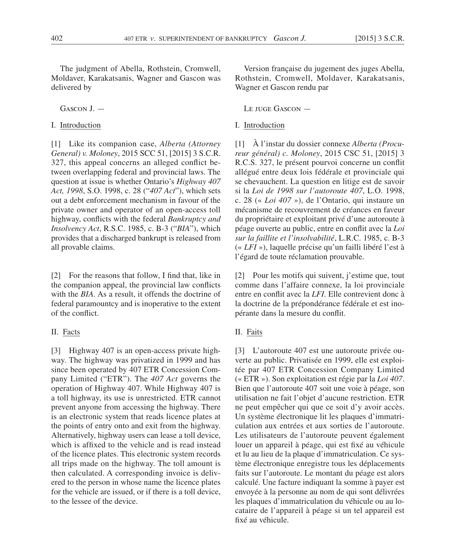The judgment of Abella, Rothstein, Cromwell, Moldaver, Karakatsanis, Wagner and Gascon was delivered by

GASCON  $I$  –

I. Introduction

[1] Like its companion case, *Alberta (Attorney General) v. Moloney*, 2015 SCC 51, [2015] 3 S.C.R. 327, this appeal concerns an alleged conflict between overlapping federal and provincial laws. The question at issue is whether Ontario's *Highway 407 Act, 1998*, S.O. 1998, c. 28 ("*407 Act*"), which sets out a debt enforcement mechanism in favour of the private owner and operator of an open-access toll highway, conflicts with the federal *Bankruptcy and Insolvency Act*, R.S.C. 1985, c. B-3 ("*BIA*"), which provides that a discharged bankrupt is released from all provable claims.

[2] For the reasons that follow, I find that, like in the companion appeal, the provincial law conflicts with the *BIA*. As a result, it offends the doctrine of federal paramountcy and is inoperative to the extent of the conflict.

# II. Facts

[3] Highway 407 is an open-access private highway. The highway was privatized in 1999 and has since been operated by 407 ETR Concession Company Limited ("ETR"). The *407 Act* governs the operation of Highway 407. While Highway 407 is a toll highway, its use is unrestricted. ETR cannot prevent anyone from accessing the highway. There is an electronic system that reads licence plates at the points of entry onto and exit from the highway. Alternatively, highway users can lease a toll device, which is affixed to the vehicle and is read instead of the licence plates. This electronic system records all trips made on the highway. The toll amount is then calculated. A corresponding invoice is delivered to the person in whose name the licence plates for the vehicle are issued, or if there is a toll device, to the lessee of the device.

Version française du jugement des juges Abella, Rothstein, Cromwell, Moldaver, Karakatsanis, Wagner et Gascon rendu par

Le juge Gascon —

# I. Introduction

[1] À l'instar du dossier connexe *Alberta (Procureur général) c. Moloney*, 2015 CSC 51, [2015] 3 R.C.S. 327, le présent pourvoi concerne un conflit allégué entre deux lois fédérale et provinciale qui se chevauchent. La question en litige est de savoir si la *Loi de 1998 sur l'autoroute 407*, L.O. 1998, c. 28 (« *Loi 407* »), de l'Ontario, qui instaure un mécanisme de recouvrement de créances en faveur du propriétaire et exploitant privé d'une autoroute à péage ouverte au public, entre en conflit avec la *Loi sur la faillite et l'insolvabilité*, L.R.C. 1985, c. B-3 (« *LFI* »), laquelle précise qu'un failli libéré l'est à l'égard de toute réclamation prouvable.

[2] Pour les motifs qui suivent, j'estime que, tout comme dans l'affaire connexe, la loi provinciale entre en conflit avec la *LFI*. Elle contrevient donc à la doctrine de la prépondérance fédérale et est inopérante dans la mesure du conflit.

# II. Faits

[3] L'autoroute 407 est une autoroute privée ouverte au public. Privatisée en 1999, elle est exploitée par 407 ETR Concession Company Limited (« ETR »). Son exploitation est régie par la *Loi 407*. Bien que l'autoroute 407 soit une voie à péage, son utilisation ne fait l'objet d'aucune restriction. ETR ne peut empêcher qui que ce soit d'y avoir accès. Un système électronique lit les plaques d'immatriculation aux entrées et aux sorties de l'autoroute. Les utilisateurs de l'autoroute peuvent également louer un appareil à péage, qui est fixé au véhicule et lu au lieu de la plaque d'immatriculation. Ce système électronique enregistre tous les déplacements faits sur l'autoroute. Le montant du péage est alors calculé. Une facture indiquant la somme à payer est envoyée à la personne au nom de qui sont délivrées les plaques d'immatriculation du véhicule ou au locataire de l'appareil à péage si un tel appareil est fixé au véhicule.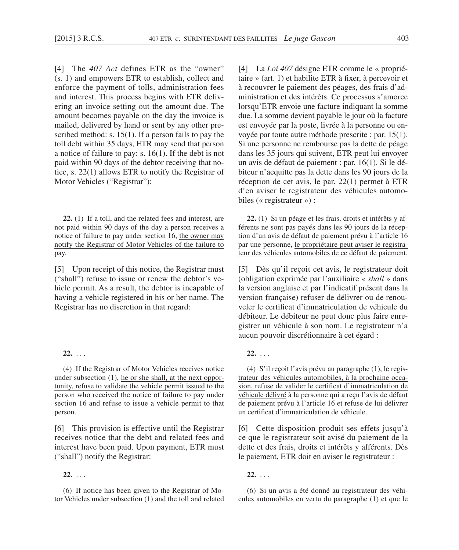[4] The *407 Act* defines ETR as the "owner" (s. 1) and empowers ETR to establish, collect and enforce the payment of tolls, administration fees and interest. This process begins with ETR delivering an invoice setting out the amount due. The amount becomes payable on the day the invoice is mailed, delivered by hand or sent by any other prescribed method: s. 15(1). If a person fails to pay the toll debt within 35 days, ETR may send that person a notice of failure to pay: s. 16(1). If the debt is not paid within 90 days of the debtor receiving that notice, s. 22(1) allows ETR to notify the Registrar of Motor Vehicles ("Registrar"):

**22.** (1) If a toll, and the related fees and interest, are not paid within 90 days of the day a person receives a notice of failure to pay under section 16, the owner may notify the Registrar of Motor Vehicles of the failure to pay.

[5] Upon receipt of this notice, the Registrar must ("shall") refuse to issue or renew the debtor's vehicle permit. As a result, the debtor is incapable of having a vehicle registered in his or her name. The Registrar has no discretion in that regard:

# **22.** . . .

(4) If the Registrar of Motor Vehicles receives notice under subsection (1), he or she shall, at the next opportunity, refuse to validate the vehicle permit issued to the person who received the notice of failure to pay under section 16 and refuse to issue a vehicle permit to that person.

[6] This provision is effective until the Registrar receives notice that the debt and related fees and interest have been paid. Upon payment, ETR must ("shall") notify the Registrar:

**22.** . . .

(6) If notice has been given to the Registrar of Motor Vehicles under subsection (1) and the toll and related [4] La *Loi 407* désigne ETR comme le « propriétaire » (art. 1) et habilite ETR à fixer, à percevoir et à recouvrer le paiement des péages, des frais d'administration et des intérêts. Ce processus s'amorce lorsqu'ETR envoie une facture indiquant la somme due. La somme devient payable le jour où la facture est envoyée par la poste, livrée à la personne ou envoyée par toute autre méthode prescrite : par. 15(1). Si une personne ne rembourse pas la dette de péage dans les 35 jours qui suivent, ETR peut lui envoyer un avis de défaut de paiement : par. 16(1). Si le débiteur n'acquitte pas la dette dans les 90 jours de la réception de cet avis, le par. 22(1) permet à ETR d'en aviser le registrateur des véhicules automobiles (« registrateur ») :

**22.** (1) Si un péage et les frais, droits et intérêts y afférents ne sont pas payés dans les 90 jours de la réception d'un avis de défaut de paiement prévu à l'article 16 par une personne, le propriétaire peut aviser le registrateur des véhicules automobiles de ce défaut de paiement.

[5] Dès qu'il reçoit cet avis, le registrateur doit (obligation exprimée par l'auxiliaire « *shall* » dans la version anglaise et par l'indicatif présent dans la version française) refuser de délivrer ou de renouveler le certificat d'immatriculation de véhicule du débiteur. Le débiteur ne peut donc plus faire enregistrer un véhicule à son nom. Le registrateur n'a aucun pouvoir discrétionnaire à cet égard :

**22.** . . .

(4) S'il reçoit l'avis prévu au paragraphe (1), le registrateur des véhicules automobiles, à la prochaine occasion, refuse de valider le certificat d'immatriculation de véhicule délivré à la personne qui a reçu l'avis de défaut de paiement prévu à l'article 16 et refuse de lui délivrer un certificat d'immatriculation de véhicule.

[6] Cette disposition produit ses effets jusqu'à ce que le registrateur soit avisé du paiement de la dette et des frais, droits et intérêts y afférents. Dès le paiement, ETR doit en aviser le registrateur :

**22.** . . .

(6) Si un avis a été donné au registrateur des véhicules automobiles en vertu du paragraphe (1) et que le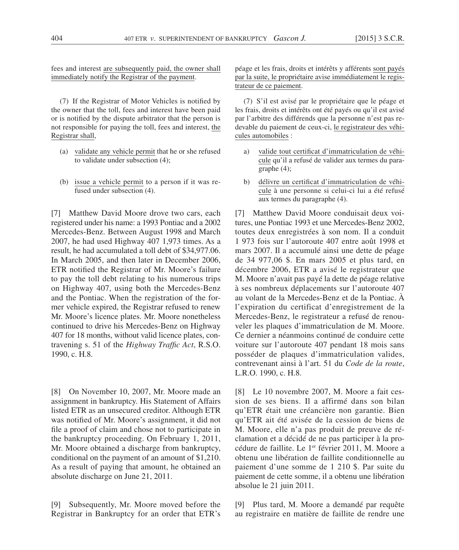fees and interest are subsequently paid, the owner shall immediately notify the Registrar of the payment.

(7) If the Registrar of Motor Vehicles is notified by the owner that the toll, fees and interest have been paid or is notified by the dispute arbitrator that the person is not responsible for paying the toll, fees and interest, the Registrar shall,

- (a) validate any vehicle permit that he or she refused to validate under subsection (4);
- (b) issue a vehicle permit to a person if it was refused under subsection (4).

[7] Matthew David Moore drove two cars, each registered under his name: a 1993 Pontiac and a 2002 Mercedes-Benz. Between August 1998 and March 2007, he had used Highway 407 1,973 times. As a result, he had accumulated a toll debt of \$34,977.06. In March 2005, and then later in December 2006, ETR notified the Registrar of Mr. Moore's failure to pay the toll debt relating to his numerous trips on Highway 407, using both the Mercedes-Benz and the Pontiac. When the registration of the former vehicle expired, the Registrar refused to renew Mr. Moore's licence plates. Mr. Moore nonetheless continued to drive his Mercedes-Benz on Highway 407 for 18 months, without valid licence plates, contravening s. 51 of the *Highway Traffic Act*, R.S.O. 1990, c. H.8.

[8] On November 10, 2007, Mr. Moore made an assignment in bankruptcy. His Statement of Affairs listed ETR as an unsecured creditor. Although ETR was notified of Mr. Moore's assignment, it did not file a proof of claim and chose not to participate in the bankruptcy proceeding. On February 1, 2011, Mr. Moore obtained a discharge from bankruptcy, conditional on the payment of an amount of \$1,210. As a result of paying that amount, he obtained an absolute discharge on June 21, 2011.

[9] Subsequently, Mr. Moore moved before the Registrar in Bankruptcy for an order that ETR's

péage et les frais, droits et intérêts y afférents sont payés par la suite, le propriétaire avise immédiatement le registrateur de ce paiement.

(7) S'il est avisé par le propriétaire que le péage et les frais, droits et intérêts ont été payés ou qu'il est avisé par l'arbitre des différends que la personne n'est pas redevable du paiement de ceux-ci, le registrateur des véhicules automobiles :

- a) valide tout certificat d'immatriculation de véhicule qu'il a refusé de valider aux termes du paragraphe (4);
- b) délivre un certificat d'immatriculation de véhicule à une personne si celui-ci lui a été refusé aux termes du paragraphe (4).

[7] Matthew David Moore conduisait deux voitures, une Pontiac 1993 et une Mercedes-Benz 2002, toutes deux enregistrées à son nom. Il a conduit 1 973 fois sur l'autoroute 407 entre août 1998 et mars 2007. Il a accumulé ainsi une dette de péage de 34 977,06 \$. En mars 2005 et plus tard, en décembre 2006, ETR a avisé le registrateur que M. Moore n'avait pas payé la dette de péage relative à ses nombreux déplacements sur l'autoroute 407 au volant de la Mercedes-Benz et de la Pontiac. À l'expiration du certificat d'enregistrement de la Mercedes-Benz, le registrateur a refusé de renouveler les plaques d'immatriculation de M. Moore. Ce dernier a néanmoins continué de conduire cette voiture sur l'autoroute 407 pendant 18 mois sans posséder de plaques d'immatriculation valides, contrevenant ainsi à l'art. 51 du *Code de la route*, L.R.O. 1990, c. H.8.

[8] Le 10 novembre 2007, M. Moore a fait cession de ses biens. Il a affirmé dans son bilan qu'ETR était une créancière non garantie. Bien qu'ETR ait été avisée de la cession de biens de M. Moore, elle n'a pas produit de preuve de réclamation et a décidé de ne pas participer à la procédure de faillite. Le 1<sup>er</sup> février 2011, M. Moore a obtenu une libération de faillite conditionnelle au paiement d'une somme de 1 210 \$. Par suite du paiement de cette somme, il a obtenu une libération absolue le 21 juin 2011.

[9] Plus tard, M. Moore a demandé par requête au registraire en matière de faillite de rendre une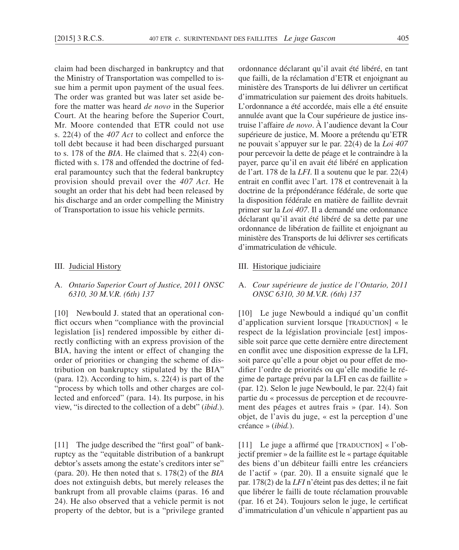claim had been discharged in bankruptcy and that the Ministry of Transportation was compelled to issue him a permit upon payment of the usual fees. The order was granted but was later set aside before the matter was heard *de novo* in the Superior Court. At the hearing before the Superior Court, Mr. Moore contended that ETR could not use s. 22(4) of the *407 Act* to collect and enforce the toll debt because it had been discharged pursuant to s. 178 of the *BIA*. He claimed that s. 22(4) conflicted with s. 178 and offended the doctrine of federal paramountcy such that the federal bankruptcy provision should prevail over the *407 Act*. He sought an order that his debt had been released by his discharge and an order compelling the Ministry of Transportation to issue his vehicle permits.

## III. Judicial History

# A. *Ontario Superior Court of Justice, 2011 ONSC 6310, 30 M.V.R. (6th) 137*

[10] Newbould J. stated that an operational conflict occurs when "compliance with the provincial legislation [is] rendered impossible by either directly conflicting with an express provision of the BIA, having the intent or effect of changing the order of priorities or changing the scheme of distribution on bankruptcy stipulated by the BIA" (para. 12). According to him, s. 22(4) is part of the "process by which tolls and other charges are collected and enforced" (para. 14). Its purpose, in his view, "is directed to the collection of a debt" (*ibid*.).

[11] The judge described the "first goal" of bankruptcy as the "equitable distribution of a bankrupt debtor's assets among the estate's creditors inter se" (para. 20). He then noted that s. 178(2) of the *BIA* does not extinguish debts, but merely releases the bankrupt from all provable claims (paras. 16 and 24). He also observed that a vehicle permit is not property of the debtor, but is a "privilege granted ordonnance déclarant qu'il avait été libéré, en tant que failli, de la réclamation d'ETR et enjoignant au ministère des Transports de lui délivrer un certificat d'immatriculation sur paiement des droits habituels. L'ordonnance a été accordée, mais elle a été ensuite annulée avant que la Cour supérieure de justice instruise l'affaire *de novo*. À l'audience devant la Cour supérieure de justice, M. Moore a prétendu qu'ETR ne pouvait s'appuyer sur le par. 22(4) de la *Loi 407* pour percevoir la dette de péage et le contraindre à la payer, parce qu'il en avait été libéré en application de l'art. 178 de la *LFI*. Il a soutenu que le par. 22(4) entrait en conflit avec l'art. 178 et contrevenait à la doctrine de la prépondérance fédérale, de sorte que la disposition fédérale en matière de faillite devrait primer sur la *Loi 407*. Il a demandé une ordonnance déclarant qu'il avait été libéré de sa dette par une ordonnance de libération de faillite et enjoignant au ministère des Transports de lui délivrer ses certificats d'immatriculation de véhicule.

# III. Historique judiciaire

# A. *Cour supérieure de justice de l'Ontario, 2011 ONSC 6310, 30 M.V.R. (6th) 137*

[10] Le juge Newbould a indiqué qu'un conflit d'application survient lorsque [TRADUCTION] « le respect de la législation provinciale [est] impossible soit parce que cette dernière entre directement en conflit avec une disposition expresse de la LFI, soit parce qu'elle a pour objet ou pour effet de modifier l'ordre de priorités ou qu'elle modifie le régime de partage prévu par la LFI en cas de faillite » (par. 12). Selon le juge Newbould, le par. 22(4) fait partie du « processus de perception et de recouvrement des péages et autres frais » (par. 14). Son objet, de l'avis du juge, « est la perception d'une créance » (*ibid.*).

[11] Le juge a affirmé que [TRADUCTION] « l'objectif premier » de la faillite est le « partage équitable des biens d'un débiteur failli entre les créanciers de l'actif » (par. 20). Il a ensuite signalé que le par. 178(2) de la *LFI* n'éteint pas des dettes; il ne fait que libérer le failli de toute réclamation prouvable (par. 16 et 24). Toujours selon le juge, le certificat d'immatriculation d'un véhicule n'appartient pas au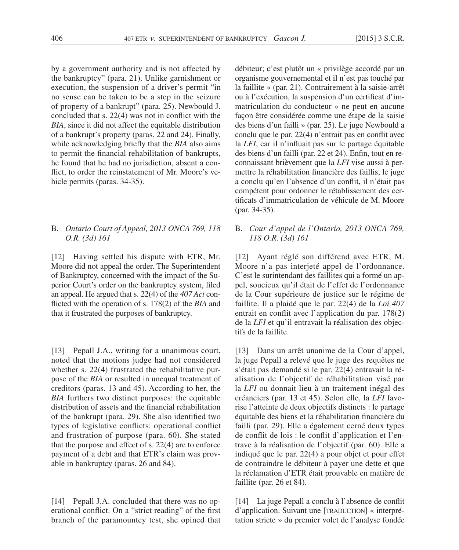by a government authority and is not affected by the bankruptcy" (para. 21). Unlike garnishment or execution, the suspension of a driver's permit "in no sense can be taken to be a step in the seizure of property of a bankrupt" (para. 25). Newbould J. concluded that s. 22(4) was not in conflict with the *BIA*, since it did not affect the equitable distribution of a bankrupt's property (paras. 22 and 24). Finally, while acknowledging briefly that the *BIA* also aims to permit the financial rehabilitation of bankrupts, he found that he had no jurisdiction, absent a conflict, to order the reinstatement of Mr. Moore's vehicle permits (paras. 34-35).

# B. *Ontario Court of Appeal, 2013 ONCA 769, 118 O.R. (3d) 161*

[12] Having settled his dispute with ETR, Mr. Moore did not appeal the order. The Superintendent of Bankruptcy, concerned with the impact of the Superior Court's order on the bankruptcy system, filed an appeal. He argued that s. 22(4) of the *407 Act* conflicted with the operation of s. 178(2) of the *BIA* and that it frustrated the purposes of bankruptcy.

[13] Pepall J.A., writing for a unanimous court, noted that the motions judge had not considered whether s. 22(4) frustrated the rehabilitative purpose of the *BIA* or resulted in unequal treatment of creditors (paras. 13 and 45). According to her, the *BIA* furthers two distinct purposes: the equitable distribution of assets and the financial rehabilitation of the bankrupt (para. 29). She also identified two types of legislative conflicts: operational conflict and frustration of purpose (para. 60). She stated that the purpose and effect of s. 22(4) are to enforce payment of a debt and that ETR's claim was provable in bankruptcy (paras. 26 and 84).

[14] Pepall J.A. concluded that there was no operational conflict. On a "strict reading" of the first branch of the paramountcy test, she opined that

débiteur; c'est plutôt un « privilège accordé par un organisme gouvernemental et il n'est pas touché par la faillite » (par. 21). Contrairement à la saisie-arrêt ou à l'exécution, la suspension d'un certificat d'immatriculation du conducteur « ne peut en aucune façon être considérée comme une étape de la saisie des biens d'un failli » (par. 25). Le juge Newbould a conclu que le par. 22(4) n'entrait pas en conflit avec la *LFI*, car il n'influait pas sur le partage équitable des biens d'un failli (par. 22 et 24). Enfin, tout en reconnaissant brièvement que la *LFI* vise aussi à permettre la réhabilitation financière des faillis, le juge a conclu qu'en l'absence d'un conflit, il n'était pas compétent pour ordonner le rétablissement des certificats d'immatriculation de véhicule de M. Moore (par. 34-35).

# B. *Cour d'appel de l'Ontario, 2013 ONCA 769, 118 O.R. (3d) 161*

[12] Ayant réglé son différend avec ETR, M. Moore n'a pas interjeté appel de l'ordonnance. C'est le surintendant des faillites qui a formé un appel, soucieux qu'il était de l'effet de l'ordonnance de la Cour supérieure de justice sur le régime de faillite. Il a plaidé que le par. 22(4) de la *Loi 407* entrait en conflit avec l'application du par. 178(2) de la *LFI* et qu'il entravait la réalisation des objectifs de la faillite.

[13] Dans un arrêt unanime de la Cour d'appel, la juge Pepall a relevé que le juge des requêtes ne s'était pas demandé si le par. 22(4) entravait la réalisation de l'objectif de réhabilitation visé par la *LFI* ou donnait lieu à un traitement inégal des créanciers (par. 13 et 45). Selon elle, la *LFI* favorise l'atteinte de deux objectifs distincts : le partage équitable des biens et la réhabilitation financière du failli (par. 29). Elle a également cerné deux types de conflit de lois : le conflit d'application et l'entrave à la réalisation de l'objectif (par. 60). Elle a indiqué que le par. 22(4) a pour objet et pour effet de contraindre le débiteur à payer une dette et que la réclamation d'ETR était prouvable en matière de faillite (par. 26 et 84).

[14] La juge Pepall a conclu à l'absence de conflit d'application. Suivant une [TRADUCTION] « interprétation stricte » du premier volet de l'analyse fondée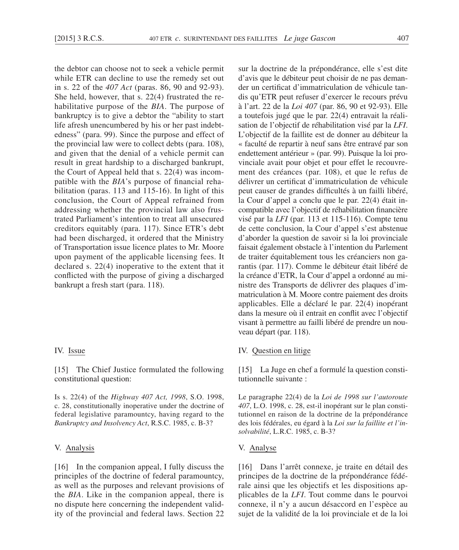the debtor can choose not to seek a vehicle permit while ETR can decline to use the remedy set out in s. 22 of the *407 Act* (paras. 86, 90 and 92-93). She held, however, that s. 22(4) frustrated the rehabilitative purpose of the *BIA*. The purpose of bankruptcy is to give a debtor the "ability to start life afresh unencumbered by his or her past indebtedness" (para. 99). Since the purpose and effect of the provincial law were to collect debts (para. 108), and given that the denial of a vehicle permit can result in great hardship to a discharged bankrupt, the Court of Appeal held that s. 22(4) was incompatible with the *BIA*'s purpose of financial rehabilitation (paras. 113 and 115-16). In light of this conclusion, the Court of Appeal refrained from addressing whether the provincial law also frustrated Parliament's intention to treat all unsecured creditors equitably (para. 117). Since ETR's debt had been discharged, it ordered that the Ministry of Transportation issue licence plates to Mr. Moore upon payment of the applicable licensing fees. It declared s. 22(4) inoperative to the extent that it conflicted with the purpose of giving a discharged bankrupt a fresh start (para. 118).

# IV. Issue

[15] The Chief Justice formulated the following constitutional question:

Is s. 22(4) of the *Highway 407 Act, 1998*, S.O. 1998, c. 28, constitutionally inoperative under the doctrine of federal legislative paramountcy, having regard to the *Bankruptcy and Insolvency Act*, R.S.C. 1985, c. B-3?

#### V. Analysis

[16] In the companion appeal, I fully discuss the principles of the doctrine of federal paramountcy, as well as the purposes and relevant provisions of the *BIA*. Like in the companion appeal, there is no dispute here concerning the independent validity of the provincial and federal laws. Section 22 sur la doctrine de la prépondérance, elle s'est dite d'avis que le débiteur peut choisir de ne pas demander un certificat d'immatriculation de véhicule tandis qu'ETR peut refuser d'exercer le recours prévu à l'art. 22 de la *Loi 407* (par. 86, 90 et 92-93). Elle a toutefois jugé que le par. 22(4) entravait la réalisation de l'objectif de réhabilitation visé par la *LFI*. L'objectif de la faillite est de donner au débiteur la « faculté de repartir à neuf sans être entravé par son endettement antérieur » (par. 99). Puisque la loi provinciale avait pour objet et pour effet le recouvrement des créances (par. 108), et que le refus de délivrer un certificat d'immatriculation de véhicule peut causer de grandes difficultés à un failli libéré, la Cour d'appel a conclu que le par. 22(4) était incompatible avec l'objectif de réhabilitation financière visé par la *LFI* (par. 113 et 115-116). Compte tenu de cette conclusion, la Cour d'appel s'est abstenue d'aborder la question de savoir si la loi provinciale faisait également obstacle à l'intention du Parlement de traiter équitablement tous les créanciers non garantis (par. 117). Comme le débiteur était libéré de la créance d'ETR, la Cour d'appel a ordonné au ministre des Transports de délivrer des plaques d'immatriculation à M. Moore contre paiement des droits applicables. Elle a déclaré le par. 22(4) inopérant dans la mesure où il entrait en conflit avec l'objectif visant à permettre au failli libéré de prendre un nouveau départ (par. 118).

# IV. Question en litige

[15] La Juge en chef a formulé la question constitutionnelle suivante :

Le paragraphe 22(4) de la *Loi de 1998 sur l'autoroute 407*, L.O. 1998, c. 28, est-il inopérant sur le plan constitutionnel en raison de la doctrine de la prépondérance des lois fédérales, eu égard à la *Loi sur la faillite et l'insolvabilité*, L.R.C. 1985, c. B-3?

# V. Analyse

[16] Dans l'arrêt connexe, je traite en détail des principes de la doctrine de la prépondérance fédérale ainsi que les objectifs et les dispositions applicables de la *LFI*. Tout comme dans le pourvoi connexe, il n'y a aucun désaccord en l'espèce au sujet de la validité de la loi provinciale et de la loi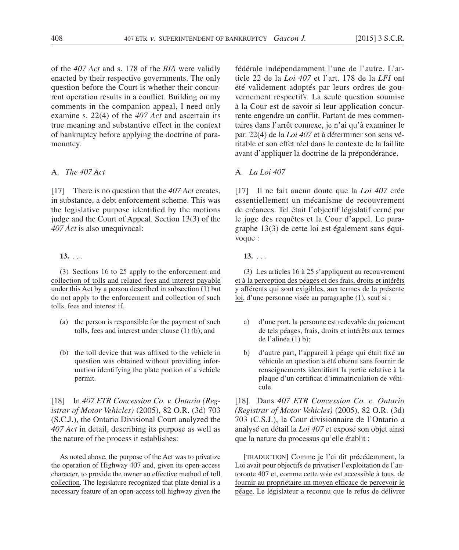of the *407 Act* and s. 178 of the *BIA* were validly enacted by their respective governments. The only question before the Court is whether their concurrent operation results in a conflict. Building on my comments in the companion appeal, I need only examine s. 22(4) of the *407 Act* and ascertain its true meaning and substantive effect in the context of bankruptcy before applying the doctrine of paramountcy.

# A. *The 407 Act*

[17] There is no question that the *407 Act* creates, in substance, a debt enforcement scheme. This was the legislative purpose identified by the motions judge and the Court of Appeal. Section 13(3) of the *407 Act* is also unequivocal:

# **13.** . . .

(3) Sections 16 to 25 apply to the enforcement and collection of tolls and related fees and interest payable under this Act by a person described in subsection (1) but do not apply to the enforcement and collection of such tolls, fees and interest if,

- (a) the person is responsible for the payment of such tolls, fees and interest under clause (1) (b); and
- (b) the toll device that was affixed to the vehicle in question was obtained without providing information identifying the plate portion of a vehicle permit.

[18] In *407 ETR Concession Co. v. Ontario (Registrar of Motor Vehicles)* (2005), 82 O.R. (3d) 703 (S.C.J.), the Ontario Divisional Court analyzed the *407 Act* in detail, describing its purpose as well as the nature of the process it establishes:

As noted above, the purpose of the Act was to privatize the operation of Highway 407 and, given its open-access character, to provide the owner an effective method of toll collection. The legislature recognized that plate denial is a necessary feature of an open-access toll highway given the fédérale indépendamment l'une de l'autre. L'article 22 de la *Loi 407* et l'art. 178 de la *LFI* ont été validement adoptés par leurs ordres de gouvernement respectifs. La seule question soumise à la Cour est de savoir si leur application concurrente engendre un conflit. Partant de mes commentaires dans l'arrêt connexe, je n'ai qu'à examiner le par. 22(4) de la *Loi 407* et à déterminer son sens véritable et son effet réel dans le contexte de la faillite avant d'appliquer la doctrine de la prépondérance.

# A. *La Loi 407*

[17] Il ne fait aucun doute que la *Loi 407* crée essentiellement un mécanisme de recouvrement de créances. Tel était l'objectif législatif cerné par le juge des requêtes et la Cour d'appel. Le paragraphe 13(3) de cette loi est également sans équivoque :

# **13.** . . .

(3) Les articles 16 à 25 s'appliquent au recouvrement et à la perception des péages et des frais, droits et intérêts y afférents qui sont exigibles, aux termes de la présente loi, d'une personne visée au paragraphe (1), sauf si :

- a) d'une part, la personne est redevable du paiement de tels péages, frais, droits et intérêts aux termes de l'alinéa (1) b);
- b) d'autre part, l'appareil à péage qui était fixé au véhicule en question a été obtenu sans fournir de renseignements identifiant la partie relative à la plaque d'un certificat d'immatriculation de véhicule.

[18] Dans *407 ETR Concession Co. c. Ontario (Registrar of Motor Vehicles)* (2005), 82 O.R. (3d) 703 (C.S.J.), la Cour divisionnaire de l'Ontario a analysé en détail la *Loi 407* et exposé son objet ainsi que la nature du processus qu'elle établit :

[TRADUCTION] Comme je l'ai dit précédemment, la Loi avait pour objectifs de privatiser l'exploitation de l'autoroute 407 et, comme cette voie est accessible à tous, de fournir au propriétaire un moyen efficace de percevoir le péage. Le législateur a reconnu que le refus de délivrer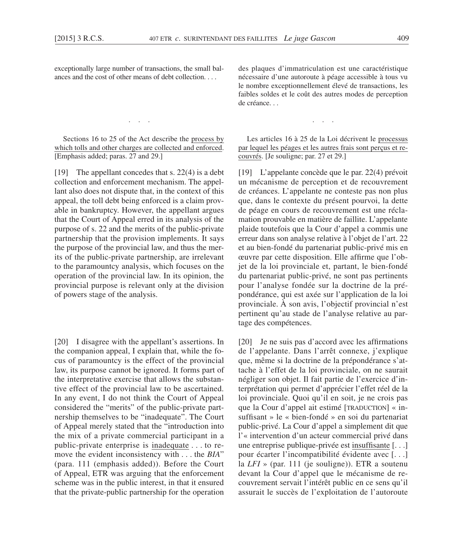exceptionally large number of transactions, the small balances and the cost of other means of debt collection. . . .

Sections 16 to 25 of the Act describe the process by which tolls and other charges are collected and enforced. [Emphasis added; paras. 27 and 29.]

. . .

[19] The appellant concedes that s. 22(4) is a debt collection and enforcement mechanism. The appellant also does not dispute that, in the context of this appeal, the toll debt being enforced is a claim provable in bankruptcy. However, the appellant argues that the Court of Appeal erred in its analysis of the purpose of s. 22 and the merits of the public-private partnership that the provision implements. It says the purpose of the provincial law, and thus the merits of the public-private partnership, are irrelevant to the paramountcy analysis, which focuses on the operation of the provincial law. In its opinion, the provincial purpose is relevant only at the division of powers stage of the analysis.

[20] I disagree with the appellant's assertions. In the companion appeal, I explain that, while the focus of paramountcy is the effect of the provincial law, its purpose cannot be ignored. It forms part of the interpretative exercise that allows the substantive effect of the provincial law to be ascertained. In any event, I do not think the Court of Appeal considered the "merits" of the public-private partnership themselves to be "inadequate". The Court of Appeal merely stated that the "introduction into the mix of a private commercial participant in a public-private enterprise is inadequate . . . to remove the evident inconsistency with . . . the *BIA*" (para. 111 (emphasis added)). Before the Court of Appeal, ETR was arguing that the enforcement scheme was in the public interest, in that it ensured that the private-public partnership for the operation des plaques d'immatriculation est une caractéristique nécessaire d'une autoroute à péage accessible à tous vu le nombre exceptionnellement élevé de transactions, les faibles soldes et le coût des autres modes de perception de créance. . .

. . .

Les articles 16 à 25 de la Loi décrivent le processus par lequel les péages et les autres frais sont perçus et recouvrés. [Je souligne; par. 27 et 29.]

[19] L'appelante concède que le par. 22(4) prévoit un mécanisme de perception et de recouvrement de créances. L'appelante ne conteste pas non plus que, dans le contexte du présent pourvoi, la dette de péage en cours de recouvrement est une réclamation prouvable en matière de faillite. L'appelante plaide toutefois que la Cour d'appel a commis une erreur dans son analyse relative à l'objet de l'art. 22 et au bien-fondé du partenariat public-privé mis en œuvre par cette disposition. Elle affirme que l'objet de la loi provinciale et, partant, le bien-fondé du partenariat public-privé, ne sont pas pertinents pour l'analyse fondée sur la doctrine de la prépondérance, qui est axée sur l'application de la loi provinciale. À son avis, l'objectif provincial n'est pertinent qu'au stade de l'analyse relative au partage des compétences.

[20] Je ne suis pas d'accord avec les affirmations de l'appelante. Dans l'arrêt connexe, j'explique que, même si la doctrine de la prépondérance s'attache à l'effet de la loi provinciale, on ne saurait négliger son objet. Il fait partie de l'exercice d'interprétation qui permet d'apprécier l'effet réel de la loi provinciale. Quoi qu'il en soit, je ne crois pas que la Cour d'appel ait estimé [TRADUCTION] « insuffisant » le « bien-fondé » en soi du partenariat public-privé. La Cour d'appel a simplement dit que l'« intervention d'un acteur commercial privé dans une entreprise publique-privée est insuffisante [. . .] pour écarter l'incompatibilité évidente avec [. . .] la *LFI* » (par. 111 (je souligne)). ETR a soutenu devant la Cour d'appel que le mécanisme de recouvrement servait l'intérêt public en ce sens qu'il assurait le succès de l'exploitation de l'autoroute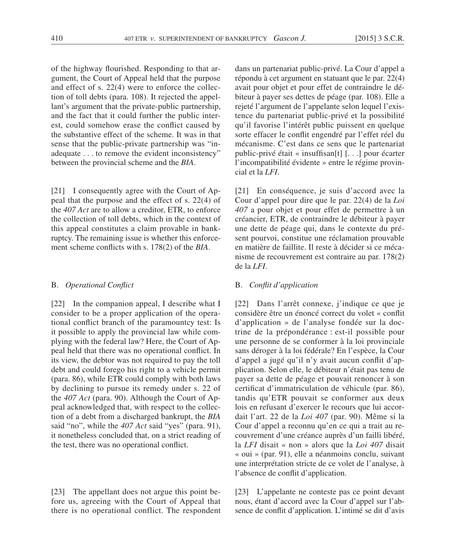of the highway flourished. Responding to that argument, the Court of Appeal held that the purpose and effect of s. 22(4) were to enforce the collection of toll debts (para. 108). It rejected the appellant's argument that the private-public partnership, and the fact that it could further the public interest, could somehow erase the conflict caused by the substantive effect of the scheme. It was in that sense that the public-private partnership was "inadequate . . . to remove the evident inconsistency" between the provincial scheme and the *BIA*.

[21] I consequently agree with the Court of Appeal that the purpose and the effect of s. 22(4) of the *407 Act* are to allow a creditor, ETR, to enforce the collection of toll debts, which in the context of this appeal constitutes a claim provable in bankruptcy. The remaining issue is whether this enforcement scheme conflicts with s. 178(2) of the *BIA*.

# B. *Operational Conflict*

[22] In the companion appeal, I describe what I consider to be a proper application of the operational conflict branch of the paramountcy test: Is it possible to apply the provincial law while complying with the federal law? Here, the Court of Appeal held that there was no operational conflict. In its view, the debtor was not required to pay the toll debt and could forego his right to a vehicle permit (para. 86), while ETR could comply with both laws by declining to pursue its remedy under s. 22 of the *407 Act* (para. 90). Although the Court of Appeal acknowledged that, with respect to the collection of a debt from a discharged bankrupt, the *BIA* said "no", while the *407 Act* said "yes" (para. 91), it nonetheless concluded that, on a strict reading of the test, there was no operational conflict.

[23] The appellant does not argue this point before us, agreeing with the Court of Appeal that there is no operational conflict. The respondent

dans un partenariat public-privé. La Cour d'appel a répondu à cet argument en statuant que le par. 22(4) avait pour objet et pour effet de contraindre le débiteur à payer ses dettes de péage (par. 108). Elle a rejeté l'argument de l'appelante selon lequel l'existence du partenariat public-privé et la possibilité qu'il favorise l'intérêt public puissent en quelque sorte effacer le conflit engendré par l'effet réel du mécanisme. C'est dans ce sens que le partenariat public-privé était « insuffisan[t] [. . .] pour écarter l'incompatibilité évidente » entre le régime provincial et la *LFI*.

[21] En conséquence, je suis d'accord avec la Cour d'appel pour dire que le par. 22(4) de la *Loi 407* a pour objet et pour effet de permettre à un créancier, ETR, de contraindre le débiteur à payer une dette de péage qui, dans le contexte du présent pourvoi, constitue une réclamation prouvable en matière de faillite. Il reste à décider si ce mécanisme de recouvrement est contraire au par. 178(2) de la *LFI*.

# B. *Conflit d'application*

[22] Dans l'arrêt connexe, j'indique ce que je considère être un énoncé correct du volet « conflit d'application » de l'analyse fondée sur la doctrine de la prépondérance : est-il possible pour une personne de se conformer à la loi provinciale sans déroger à la loi fédérale? En l'espèce, la Cour d'appel a jugé qu'il n'y avait aucun conflit d'application. Selon elle, le débiteur n'était pas tenu de payer sa dette de péage et pouvait renoncer à son certificat d'immatriculation de véhicule (par. 86), tandis qu'ETR pouvait se conformer aux deux lois en refusant d'exercer le recours que lui accordait l'art. 22 de la *Loi 407* (par. 90). Même si la Cour d'appel a reconnu qu'en ce qui a trait au recouvrement d'une créance auprès d'un failli libéré, la *LFI* disait « non » alors que la *Loi 407* disait « oui » (par. 91), elle a néanmoins conclu, suivant une interprétation stricte de ce volet de l'analyse, à l'absence de conflit d'application.

[23] L'appelante ne conteste pas ce point devant nous, étant d'accord avec la Cour d'appel sur l'absence de conflit d'application. L'intimé se dit d'avis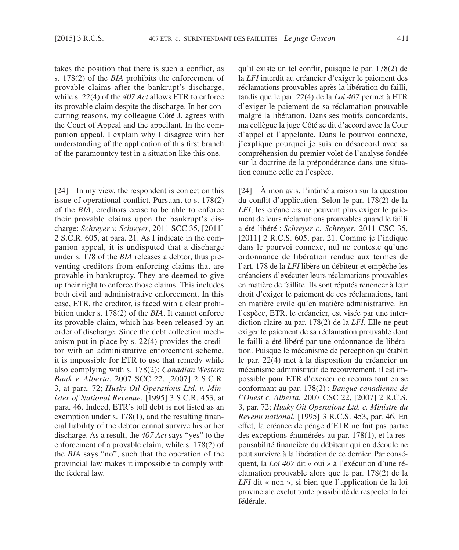takes the position that there is such a conflict, as s. 178(2) of the *BIA* prohibits the enforcement of provable claims after the bankrupt's discharge, while s. 22(4) of the *407 Act* allows ETR to enforce its provable claim despite the discharge. In her concurring reasons, my colleague Côté J. agrees with the Court of Appeal and the appellant. In the companion appeal, I explain why I disagree with her understanding of the application of this first branch of the paramountcy test in a situation like this one.

[24] In my view, the respondent is correct on this issue of operational conflict. Pursuant to s. 178(2) of the *BIA*, creditors cease to be able to enforce their provable claims upon the bankrupt's discharge: *Schreyer v. Schreyer*, 2011 SCC 35, [2011] 2 S.C.R. 605, at para. 21. As I indicate in the companion appeal, it is undisputed that a discharge under s. 178 of the *BIA* releases a debtor, thus preventing creditors from enforcing claims that are provable in bankruptcy. They are deemed to give up their right to enforce those claims. This includes both civil and administrative enforcement. In this case, ETR, the creditor, is faced with a clear prohibition under s. 178(2) of the *BIA*. It cannot enforce its provable claim, which has been released by an order of discharge. Since the debt collection mechanism put in place by s. 22(4) provides the creditor with an administrative enforcement scheme, it is impossible for ETR to use that remedy while also complying with s. 178(2): *Canadian Western Bank v. Alberta*, 2007 SCC 22, [2007] 2 S.C.R. 3, at para. 72; *Husky Oil Operations Ltd. v. Minister of National Revenue*, [1995] 3 S.C.R. 453, at para. 46. Indeed, ETR's toll debt is not listed as an exemption under s. 178(1), and the resulting financial liability of the debtor cannot survive his or her discharge. As a result, the *407 Act* says "yes" to the enforcement of a provable claim, while s. 178(2) of the *BIA* says "no", such that the operation of the provincial law makes it impossible to comply with the federal law.

qu'il existe un tel conflit, puisque le par. 178(2) de la *LFI* interdit au créancier d'exiger le paiement des réclamations prouvables après la libération du failli, tandis que le par. 22(4) de la *Loi 407* permet à ETR d'exiger le paiement de sa réclamation prouvable malgré la libération. Dans ses motifs concordants, ma collègue la juge Côté se dit d'accord avec la Cour d'appel et l'appelante. Dans le pourvoi connexe, j'explique pourquoi je suis en désaccord avec sa compréhension du premier volet de l'analyse fondée sur la doctrine de la prépondérance dans une situation comme celle en l'espèce.

[24] À mon avis, l'intimé a raison sur la question du conflit d'application. Selon le par. 178(2) de la *LFI*, les créanciers ne peuvent plus exiger le paiement de leurs réclamations prouvables quand le failli a été libéré : *Schreyer c. Schreyer*, 2011 CSC 35, [2011] 2 R.C.S. 605, par. 21. Comme je l'indique dans le pourvoi connexe, nul ne conteste qu'une ordonnance de libération rendue aux termes de l'art. 178 de la *LFI* libère un débiteur et empêche les créanciers d'exécuter leurs réclamations prouvables en matière de faillite. Ils sont réputés renoncer à leur droit d'exiger le paiement de ces réclamations, tant en matière civile qu'en matière administrative. En l'espèce, ETR, le créancier, est visée par une interdiction claire au par. 178(2) de la *LFI*. Elle ne peut exiger le paiement de sa réclamation prouvable dont le failli a été libéré par une ordonnance de libération. Puisque le mécanisme de perception qu'établit le par. 22(4) met à la disposition du créancier un mécanisme administratif de recouvrement, il est impossible pour ETR d'exercer ce recours tout en se conformant au par. 178(2) : *Banque canadienne de l'Ouest c. Alberta*, 2007 CSC 22, [2007] 2 R.C.S. 3, par. 72; *Husky Oil Operations Ltd. c. Ministre du Revenu national*, [1995] 3 R.C.S. 453, par. 46. En effet, la créance de péage d'ETR ne fait pas partie des exceptions énumérées au par. 178(1), et la responsabilité financière du débiteur qui en découle ne peut survivre à la libération de ce dernier. Par conséquent, la *Loi 407* dit « oui » à l'exécution d'une réclamation prouvable alors que le par. 178(2) de la *LFI* dit « non », si bien que l'application de la loi provinciale exclut toute possibilité de respecter la loi fédérale.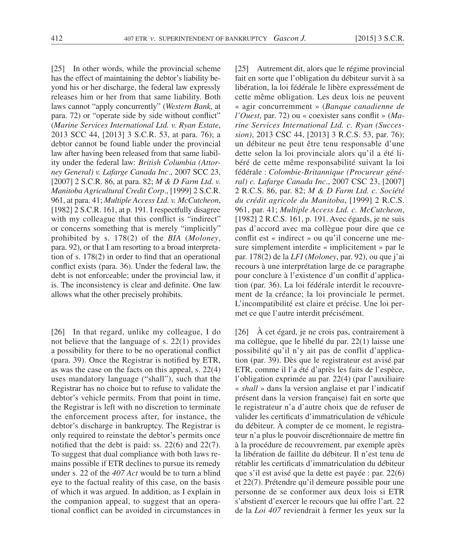[25] In other words, while the provincial scheme has the effect of maintaining the debtor's liability beyond his or her discharge, the federal law expressly releases him or her from that same liability. Both laws cannot "apply concurrently" (*Western Bank*, at para. 72) or "operate side by side without conflict" (*Marine Services International Ltd. v. Ryan Estate*, 2013 SCC 44, [2013] 3 S.C.R. 53, at para. 76); a debtor cannot be found liable under the provincial law after having been released from that same liability under the federal law: *British Columbia (Attorney General) v. Lafarge Canada Inc*., 2007 SCC 23, [2007] 2 S.C.R. 86, at para. 82; *M & D Farm Ltd. v. Manitoba Agricultural Credit Corp*., [1999] 2 S.C.R. 961, at para. 41; *Multiple Access Ltd. v. McCutcheon*, [1982]  $\overline{2}$  S.C.R. 161, at p. 191. I respectfully disagree with my colleague that this conflict is "indirect" or concerns something that is merely "implicitly" prohibited by s. 178(2) of the *BIA* (*Moloney*, para. 92), or that I am resorting to a broad interpretation of s. 178(2) in order to find that an operational conflict exists (para. 36). Under the federal law, the debt is not enforceable; under the provincial law, it is. The inconsistency is clear and definite. One law allows what the other precisely prohibits.

[26] In that regard, unlike my colleague, I do not believe that the language of s. 22(1) provides a possibility for there to be no operational conflict (para. 39). Once the Registrar is notified by ETR, as was the case on the facts on this appeal, s. 22(4) uses mandatory language ("shall"), such that the Registrar has no choice but to refuse to validate the debtor's vehicle permits. From that point in time, the Registrar is left with no discretion to terminate the enforcement process after, for instance, the debtor's discharge in bankruptcy. The Registrar is only required to reinstate the debtor's permits once notified that the debt is paid: ss. 22(6) and 22(7). To suggest that dual compliance with both laws remains possible if ETR declines to pursue its remedy under s. 22 of the *407 Act* would be to turn a blind eye to the factual reality of this case, on the basis of which it was argued. In addition, as I explain in the companion appeal, to suggest that an operational conflict can be avoided in circumstances in

[25] Autrement dit, alors que le régime provincial fait en sorte que l'obligation du débiteur survit à sa libération, la loi fédérale le libère expressément de cette même obligation. Les deux lois ne peuvent « agir concurremment » (*Banque canadienne de l'Ouest*, par. 72) ou « coexister sans conflit » (*Marine Services International Ltd. c. Ryan (Succession)*, 2013 CSC 44, [2013] 3 R.C.S. 53, par. 76); un débiteur ne peut être tenu responsable d'une dette selon la loi provinciale alors qu'il a été libéré de cette même responsabilité suivant la loi fédérale : *Colombie-Britannique (Procureur général) c. Lafarge Canada Inc*., 2007 CSC 23, [2007] 2 R.C.S. 86, par. 82; *M & D Farm Ltd. c. Société du crédit agricole du Manitoba*, [1999] 2 R.C.S. 961, par. 41; *Multiple Access Ltd. c. McCutcheon*, [1982] 2 R.C.S. 161, p. 191. Avec égards, je ne suis pas d'accord avec ma collègue pour dire que ce conflit est « indirect » ou qu'il concerne une mesure simplement interdite « implicitement » par le par. 178(2) de la *LFI* (*Moloney*, par. 92), ou que j'ai recours à une interprétation large de ce paragraphe pour conclure à l'existence d'un conflit d'application (par. 36). La loi fédérale interdit le recouvrement de la créance; la loi provinciale le permet. L'incompatibilité est claire et précise. Une loi permet ce que l'autre interdit précisément.

[26] À cet égard, je ne crois pas, contrairement à ma collègue, que le libellé du par. 22(1) laisse une possibilité qu'il n'y ait pas de conflit d'application (par. 39). Dès que le registrateur est avisé par ETR, comme il l'a été d'après les faits de l'espèce, l'obligation exprimée au par. 22(4) (par l'auxiliaire « *shall* » dans la version anglaise et par l'indicatif présent dans la version française) fait en sorte que le registrateur n'a d'autre choix que de refuser de valider les certificats d'immatriculation de véhicule du débiteur. À compter de ce moment, le registrateur n'a plus le pouvoir discrétionnaire de mettre fin à la procédure de recouvrement, par exemple après la libération de faillite du débiteur. Il n'est tenu de rétablir les certificats d'immatriculation du débiteur que s'il est avisé que la dette est payée : par. 22(6) et 22(7). Prétendre qu'il demeure possible pour une personne de se conformer aux deux lois si ETR s'abstient d'exercer le recours que lui offre l'art. 22 de la *Loi 407* reviendrait à fermer les yeux sur la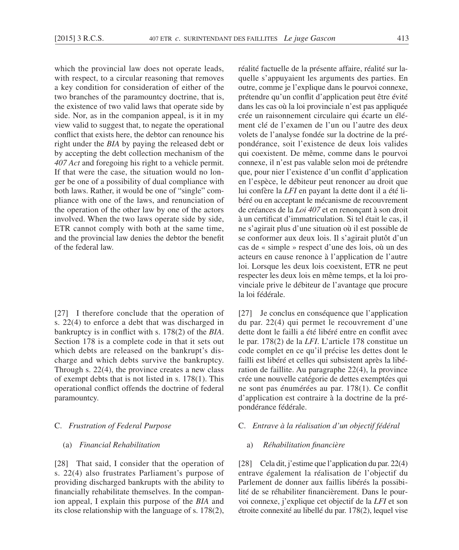which the provincial law does not operate leads, with respect, to a circular reasoning that removes a key condition for consideration of either of the two branches of the paramountcy doctrine, that is, the existence of two valid laws that operate side by side. Nor, as in the companion appeal, is it in my view valid to suggest that, to negate the operational conflict that exists here, the debtor can renounce his right under the *BIA* by paying the released debt or by accepting the debt collection mechanism of the *407 Act* and foregoing his right to a vehicle permit. If that were the case, the situation would no longer be one of a possibility of dual compliance with both laws. Rather, it would be one of "single" compliance with one of the laws, and renunciation of the operation of the other law by one of the actors involved. When the two laws operate side by side, ETR cannot comply with both at the same time, and the provincial law denies the debtor the benefit of the federal law.

[27] I therefore conclude that the operation of s. 22(4) to enforce a debt that was discharged in bankruptcy is in conflict with s. 178(2) of the *BIA*. Section 178 is a complete code in that it sets out which debts are released on the bankrupt's discharge and which debts survive the bankruptcy. Through s. 22(4), the province creates a new class of exempt debts that is not listed in s. 178(1). This operational conflict offends the doctrine of federal paramountcy.

# C. *Frustration of Federal Purpose*

# (a) *Financial Rehabilitation*

[28] That said, I consider that the operation of s. 22(4) also frustrates Parliament's purpose of providing discharged bankrupts with the ability to financially rehabilitate themselves. In the companion appeal, I explain this purpose of the *BIA* and its close relationship with the language of s. 178(2), réalité factuelle de la présente affaire, réalité sur laquelle s'appuyaient les arguments des parties. En outre, comme je l'explique dans le pourvoi connexe, prétendre qu'un conflit d'application peut être évité dans les cas où la loi provinciale n'est pas appliquée crée un raisonnement circulaire qui écarte un élément clé de l'examen de l'un ou l'autre des deux volets de l'analyse fondée sur la doctrine de la prépondérance, soit l'existence de deux lois valides qui coexistent. De même, comme dans le pourvoi connexe, il n'est pas valable selon moi de prétendre que, pour nier l'existence d'un conflit d'application en l'espèce, le débiteur peut renoncer au droit que lui confère la *LFI* en payant la dette dont il a été libéré ou en acceptant le mécanisme de recouvrement de créances de la *Loi 407* et en renonçant à son droit à un certificat d'immatriculation. Si tel était le cas, il ne s'agirait plus d'une situation où il est possible de se conformer aux deux lois. Il s'agirait plutôt d'un cas de « simple » respect d'une des lois, où un des acteurs en cause renonce à l'application de l'autre loi. Lorsque les deux lois coexistent, ETR ne peut respecter les deux lois en même temps, et la loi provinciale prive le débiteur de l'avantage que procure la loi fédérale.

[27] Je conclus en conséquence que l'application du par. 22(4) qui permet le recouvrement d'une dette dont le failli a été libéré entre en conflit avec le par. 178(2) de la *LFI*. L'article 178 constitue un code complet en ce qu'il précise les dettes dont le failli est libéré et celles qui subsistent après la libération de faillite. Au paragraphe 22(4), la province crée une nouvelle catégorie de dettes exemptées qui ne sont pas énumérées au par. 178(1). Ce conflit d'application est contraire à la doctrine de la prépondérance fédérale.

# C. *Entrave à la réalisation d'un objectif fédéral*

# a) *Réhabilitation financière*

[28] Cela dit, j'estime que l'application du par. 22(4) entrave également la réalisation de l'objectif du Parlement de donner aux faillis libérés la possibilité de se réhabiliter financièrement. Dans le pourvoi connexe, j'explique cet objectif de la *LFI* et son étroite connexité au libellé du par. 178(2), lequel vise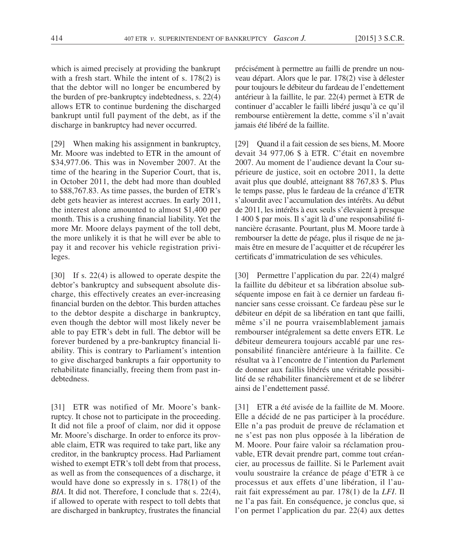which is aimed precisely at providing the bankrupt with a fresh start. While the intent of s. 178(2) is that the debtor will no longer be encumbered by the burden of pre-bankruptcy indebtedness, s. 22(4) allows ETR to continue burdening the discharged bankrupt until full payment of the debt, as if the discharge in bankruptcy had never occurred.

[29] When making his assignment in bankruptcy, Mr. Moore was indebted to ETR in the amount of \$34,977.06. This was in November 2007. At the time of the hearing in the Superior Court, that is, in October 2011, the debt had more than doubled to \$88,767.83. As time passes, the burden of ETR's debt gets heavier as interest accrues. In early 2011, the interest alone amounted to almost \$1,400 per month. This is a crushing financial liability. Yet the more Mr. Moore delays payment of the toll debt, the more unlikely it is that he will ever be able to pay it and recover his vehicle registration privileges.

[30] If s. 22(4) is allowed to operate despite the debtor's bankruptcy and subsequent absolute discharge, this effectively creates an ever-increasing financial burden on the debtor. This burden attaches to the debtor despite a discharge in bankruptcy, even though the debtor will most likely never be able to pay ETR's debt in full. The debtor will be forever burdened by a pre-bankruptcy financial liability. This is contrary to Parliament's intention to give discharged bankrupts a fair opportunity to rehabilitate financially, freeing them from past indebtedness.

[31] ETR was notified of Mr. Moore's bankruptcy. It chose not to participate in the proceeding. It did not file a proof of claim, nor did it oppose Mr. Moore's discharge. In order to enforce its provable claim, ETR was required to take part, like any creditor, in the bankruptcy process. Had Parliament wished to exempt ETR's toll debt from that process, as well as from the consequences of a discharge, it would have done so expressly in s.  $178(1)$  of the *BIA*. It did not. Therefore, I conclude that s. 22(4), if allowed to operate with respect to toll debts that are discharged in bankruptcy, frustrates the financial

précisément à permettre au failli de prendre un nouveau départ. Alors que le par. 178(2) vise à délester pour toujours le débiteur du fardeau de l'endettement antérieur à la faillite, le par. 22(4) permet à ETR de continuer d'accabler le failli libéré jusqu'à ce qu'il rembourse entièrement la dette, comme s'il n'avait jamais été libéré de la faillite.

[29] Quand il a fait cession de ses biens, M. Moore devait 34 977,06 \$ à ETR. C'était en novembre 2007. Au moment de l'audience devant la Cour supérieure de justice, soit en octobre 2011, la dette avait plus que doublé, atteignant 88 767,83 \$. Plus le temps passe, plus le fardeau de la créance d'ETR s'alourdit avec l'accumulation des intérêts. Au début de 2011, les intérêts à eux seuls s'élevaient à presque 1 400 \$ par mois. Il s'agit là d'une responsabilité financière écrasante. Pourtant, plus M. Moore tarde à rembourser la dette de péage, plus il risque de ne jamais être en mesure de l'acquitter et de récupérer les certificats d'immatriculation de ses véhicules.

[30] Permettre l'application du par. 22(4) malgré la faillite du débiteur et sa libération absolue subséquente impose en fait à ce dernier un fardeau financier sans cesse croissant. Ce fardeau pèse sur le débiteur en dépit de sa libération en tant que failli, même s'il ne pourra vraisemblablement jamais rembourser intégralement sa dette envers ETR. Le débiteur demeurera toujours accablé par une responsabilité financière antérieure à la faillite. Ce résultat va à l'encontre de l'intention du Parlement de donner aux faillis libérés une véritable possibilité de se réhabiliter financièrement et de se libérer ainsi de l'endettement passé.

[31] ETR a été avisée de la faillite de M. Moore. Elle a décidé de ne pas participer à la procédure. Elle n'a pas produit de preuve de réclamation et ne s'est pas non plus opposée à la libération de M. Moore. Pour faire valoir sa réclamation prouvable, ETR devait prendre part, comme tout créancier, au processus de faillite. Si le Parlement avait voulu soustraire la créance de péage d'ETR à ce processus et aux effets d'une libération, il l'aurait fait expressément au par. 178(1) de la *LFI*. Il ne l'a pas fait. En conséquence, je conclus que, si l'on permet l'application du par. 22(4) aux dettes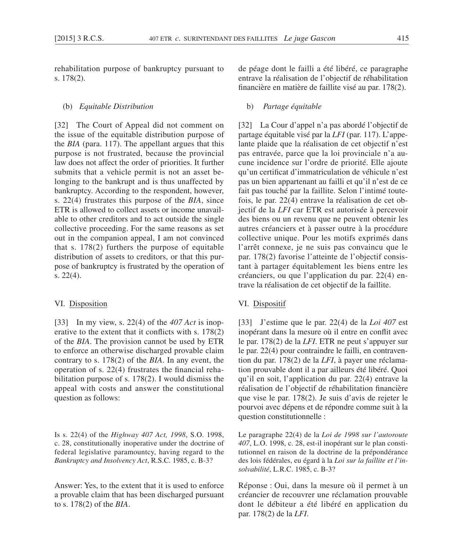rehabilitation purpose of bankruptcy pursuant to s. 178(2).

#### (b) *Equitable Distribution*

[32] The Court of Appeal did not comment on the issue of the equitable distribution purpose of the *BIA* (para. 117). The appellant argues that this purpose is not frustrated, because the provincial law does not affect the order of priorities. It further submits that a vehicle permit is not an asset belonging to the bankrupt and is thus unaffected by bankruptcy. According to the respondent, however, s. 22(4) frustrates this purpose of the *BIA*, since ETR is allowed to collect assets or income unavailable to other creditors and to act outside the single collective proceeding. For the same reasons as set out in the companion appeal, I am not convinced that s.  $178(2)$  furthers the purpose of equitable distribution of assets to creditors, or that this purpose of bankruptcy is frustrated by the operation of s. 22(4).

# VI. Disposition

[33] In my view, s. 22(4) of the *407 Act* is inoperative to the extent that it conflicts with s. 178(2) of the *BIA*. The provision cannot be used by ETR to enforce an otherwise discharged provable claim contrary to s. 178(2) of the *BIA*. In any event, the operation of s. 22(4) frustrates the financial rehabilitation purpose of s. 178(2). I would dismiss the appeal with costs and answer the constitutional question as follows:

Is s. 22(4) of the *Highway 407 Act, 1998*, S.O. 1998, c. 28, constitutionally inoperative under the doctrine of federal legislative paramountcy, having regard to the *Bankruptcy and Insolvency Act*, R.S.C. 1985, c. B-3?

Answer: Yes, to the extent that it is used to enforce a provable claim that has been discharged pursuant to s. 178(2) of the *BIA*.

de péage dont le failli a été libéré, ce paragraphe entrave la réalisation de l'objectif de réhabilitation financière en matière de faillite visé au par. 178(2).

# b) *Partage équitable*

[32] La Cour d'appel n'a pas abordé l'objectif de partage équitable visé par la *LFI* (par. 117). L'appelante plaide que la réalisation de cet objectif n'est pas entravée, parce que la loi provinciale n'a aucune incidence sur l'ordre de priorité. Elle ajoute qu'un certificat d'immatriculation de véhicule n'est pas un bien appartenant au failli et qu'il n'est de ce fait pas touché par la faillite. Selon l'intimé toutefois, le par. 22(4) entrave la réalisation de cet objectif de la *LFI* car ETR est autorisée à percevoir des biens ou un revenu que ne peuvent obtenir les autres créanciers et à passer outre à la procédure collective unique. Pour les motifs exprimés dans l'arrêt connexe, je ne suis pas convaincu que le par. 178(2) favorise l'atteinte de l'objectif consistant à partager équitablement les biens entre les créanciers, ou que l'application du par. 22(4) entrave la réalisation de cet objectif de la faillite.

# VI. Dispositif

[33] J'estime que le par. 22(4) de la *Loi 407* est inopérant dans la mesure où il entre en conflit avec le par. 178(2) de la *LFI*. ETR ne peut s'appuyer sur le par. 22(4) pour contraindre le failli, en contravention du par. 178(2) de la *LFI*, à payer une réclamation prouvable dont il a par ailleurs été libéré. Quoi qu'il en soit, l'application du par. 22(4) entrave la réalisation de l'objectif de réhabilitation financière que vise le par. 178(2). Je suis d'avis de rejeter le pourvoi avec dépens et de répondre comme suit à la question constitutionnelle :

Le paragraphe 22(4) de la *Loi de 1998 sur l'autoroute 407*, L.O. 1998, c. 28, est-il inopérant sur le plan constitutionnel en raison de la doctrine de la prépondérance des lois fédérales, eu égard à la *Loi sur la faillite et l'insolvabilité*, L.R.C. 1985, c. B-3?

Réponse : Oui, dans la mesure où il permet à un créancier de recouvrer une réclamation prouvable dont le débiteur a été libéré en application du par. 178(2) de la *LFI*.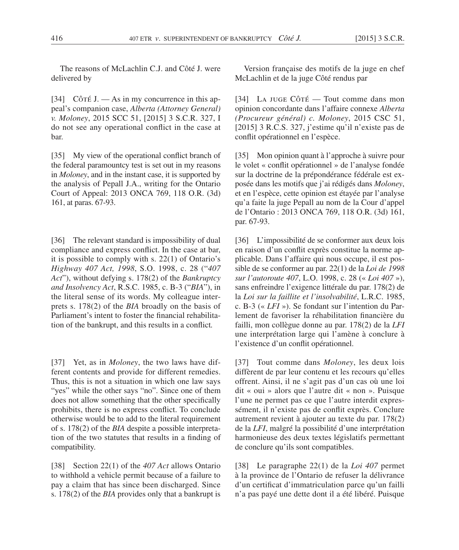The reasons of McLachlin C.J. and Côté J. were delivered by

[34] Cô $\Upsilon$  in my concurrence in this appeal's companion case, *Alberta (Attorney General) v. Moloney*, 2015 SCC 51, [2015] 3 S.C.R. 327, I do not see any operational conflict in the case at bar.

[35] My view of the operational conflict branch of the federal paramountcy test is set out in my reasons in *Moloney*, and in the instant case, it is supported by the analysis of Pepall J.A., writing for the Ontario Court of Appeal: 2013 ONCA 769, 118 O.R. (3d) 161, at paras. 67-93.

[36] The relevant standard is impossibility of dual compliance and express conflict. In the case at bar, it is possible to comply with s. 22(1) of Ontario's *Highway 407 Act, 1998*, S.O. 1998, c. 28 ("*407 Act*"), without defying s. 178(2) of the *Bankruptcy and Insolvency Act*, R.S.C. 1985, c. B-3 ("*BIA*"), in the literal sense of its words. My colleague interprets s. 178(2) of the *BIA* broadly on the basis of Parliament's intent to foster the financial rehabilitation of the bankrupt, and this results in a conflict*.*

[37] Yet, as in *Moloney*, the two laws have different contents and provide for different remedies. Thus, this is not a situation in which one law says "yes" while the other says "no". Since one of them does not allow something that the other specifically prohibits, there is no express conflict. To conclude otherwise would be to add to the literal requirement of s. 178(2) of the *BIA* despite a possible interpretation of the two statutes that results in a finding of compatibility.

[38] Section 22(1) of the *407 Act* allows Ontario to withhold a vehicle permit because of a failure to pay a claim that has since been discharged. Since s. 178(2) of the *BIA* provides only that a bankrupt is

Version française des motifs de la juge en chef McLachlin et de la juge Côté rendus par

[34] La JUGE CÔTÉ — Tout comme dans mon opinion concordante dans l'affaire connexe *Alberta (Procureur général) c. Moloney*, 2015 CSC 51, [2015] 3 R.C.S. 327, j'estime qu'il n'existe pas de conflit opérationnel en l'espèce.

[35] Mon opinion quant à l'approche à suivre pour le volet « conflit opérationnel » de l'analyse fondée sur la doctrine de la prépondérance fédérale est exposée dans les motifs que j'ai rédigés dans *Moloney*, et en l'espèce, cette opinion est étayée par l'analyse qu'a faite la juge Pepall au nom de la Cour d'appel de l'Ontario : 2013 ONCA 769, 118 O.R. (3d) 161, par. 67-93.

[36] L'impossibilité de se conformer aux deux lois en raison d'un conflit exprès constitue la norme applicable. Dans l'affaire qui nous occupe, il est possible de se conformer au par. 22(1) de la *Loi de 1998 sur l'autoroute 407*, L.O. 1998, c. 28 (« *Loi 407* »), sans enfreindre l'exigence littérale du par. 178(2) de la *Loi sur la faillite et l'insolvabilité*, L.R.C. 1985, c. B-3 (« *LFI* »). Se fondant sur l'intention du Parlement de favoriser la réhabilitation financière du failli, mon collègue donne au par. 178(2) de la *LFI* une interprétation large qui l'amène à conclure à l'existence d'un conflit opérationnel.

[37] Tout comme dans *Moloney*, les deux lois diffèrent de par leur contenu et les recours qu'elles offrent. Ainsi, il ne s'agit pas d'un cas où une loi dit « oui » alors que l'autre dit « non ». Puisque l'une ne permet pas ce que l'autre interdit expressément, il n'existe pas de conflit exprès. Conclure autrement revient à ajouter au texte du par. 178(2) de la *LFI*, malgré la possibilité d'une interprétation harmonieuse des deux textes législatifs permettant de conclure qu'ils sont compatibles.

[38] Le paragraphe 22(1) de la *Loi 407* permet à la province de l'Ontario de refuser la délivrance d'un certificat d'immatriculation parce qu'un failli n'a pas payé une dette dont il a été libéré. Puisque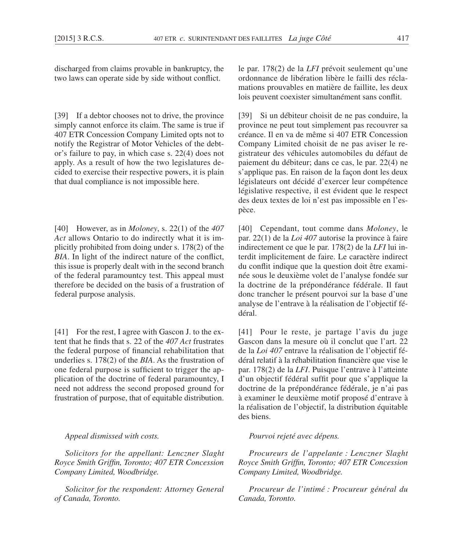discharged from claims provable in bankruptcy, the two laws can operate side by side without conflict.

[39] If a debtor chooses not to drive, the province simply cannot enforce its claim. The same is true if 407 ETR Concession Company Limited opts not to notify the Registrar of Motor Vehicles of the debtor's failure to pay, in which case s. 22(4) does not apply. As a result of how the two legislatures decided to exercise their respective powers, it is plain that dual compliance is not impossible here.

[40] However, as in *Moloney*, s. 22(1) of the *407 Act* allows Ontario to do indirectly what it is implicitly prohibited from doing under s. 178(2) of the *BIA*. In light of the indirect nature of the conflict, this issue is properly dealt with in the second branch of the federal paramountcy test. This appeal must therefore be decided on the basis of a frustration of federal purpose analysis.

[41] For the rest, I agree with Gascon J. to the extent that he finds that s. 22 of the *407 Act* frustrates the federal purpose of financial rehabilitation that underlies s. 178(2) of the *BIA*. As the frustration of one federal purpose is sufficient to trigger the application of the doctrine of federal paramountcy, I need not address the second proposed ground for frustration of purpose, that of equitable distribution.

*Appeal dismissed with costs.*

*Solicitors for the appellant: Lenczner Slaght Royce Smith Griffin, Toronto; 407 ETR Concession Company Limited, Woodbridge.*

*Solicitor for the respondent: Attorney General of Canada, Toronto.*

le par. 178(2) de la *LFI* prévoit seulement qu'une ordonnance de libération libère le failli des réclamations prouvables en matière de faillite, les deux lois peuvent coexister simultanément sans conflit.

[39] Si un débiteur choisit de ne pas conduire, la province ne peut tout simplement pas recouvrer sa créance. Il en va de même si 407 ETR Concession Company Limited choisit de ne pas aviser le registrateur des véhicules automobiles du défaut de paiement du débiteur; dans ce cas, le par. 22(4) ne s'applique pas. En raison de la façon dont les deux législateurs ont décidé d'exercer leur compétence législative respective, il est évident que le respect des deux textes de loi n'est pas impossible en l'espèce.

[40] Cependant, tout comme dans *Moloney*, le par. 22(1) de la *Loi 407* autorise la province à faire indirectement ce que le par. 178(2) de la *LFI* lui interdit implicitement de faire. Le caractère indirect du conflit indique que la question doit être examinée sous le deuxième volet de l'analyse fondée sur la doctrine de la prépondérance fédérale. Il faut donc trancher le présent pourvoi sur la base d'une analyse de l'entrave à la réalisation de l'objectif fédéral.

[41] Pour le reste, je partage l'avis du juge Gascon dans la mesure où il conclut que l'art. 22 de la *Loi 407* entrave la réalisation de l'objectif fédéral relatif à la réhabilitation financière que vise le par. 178(2) de la *LFI*. Puisque l'entrave à l'atteinte d'un objectif fédéral suffit pour que s'applique la doctrine de la prépondérance fédérale, je n'ai pas à examiner le deuxième motif proposé d'entrave à la réalisation de l'objectif, la distribution équitable des biens.

# *Pourvoi rejeté avec dépens.*

*Procureurs de l'appelante : Lenczner Slaght Royce Smith Griffin, Toronto; 407 ETR Concession Company Limited, Woodbridge.*

*Procureur de l'intimé : Procureur général du Canada, Toronto.*